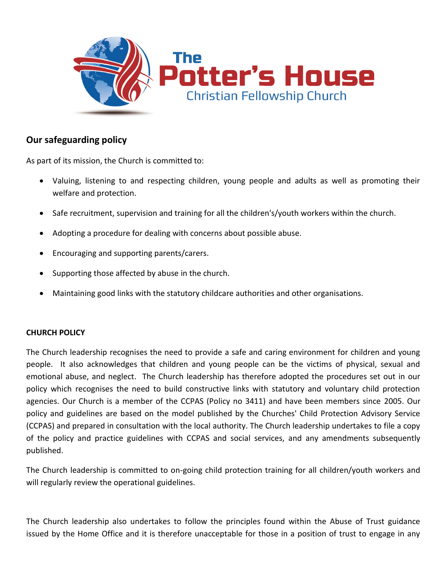

## **Our safeguarding policy**

As part of its mission, the Church is committed to:

- Valuing, listening to and respecting children, young people and adults as well as promoting their welfare and protection.
- Safe recruitment, supervision and training for all the children's/youth workers within the church.
- Adopting a procedure for dealing with concerns about possible abuse.
- Encouraging and supporting parents/carers.
- Supporting those affected by abuse in the church.
- Maintaining good links with the statutory childcare authorities and other organisations.

## **CHURCH POLICY**

The Church leadership recognises the need to provide a safe and caring environment for children and young people. It also acknowledges that children and young people can be the victims of physical, sexual and emotional abuse, and neglect. The Church leadership has therefore adopted the procedures set out in our policy which recognises the need to build constructive links with statutory and voluntary child protection agencies. Our Church is a member of the CCPAS (Policy no 3411) and have been members since 2005. Our policy and guidelines are based on the model published by the Churches' Child Protection Advisory Service (CCPAS) and prepared in consultation with the local authority. The Church leadership undertakes to file a copy of the policy and practice guidelines with CCPAS and social services, and any amendments subsequently published.

The Church leadership is committed to on-going child protection training for all children/youth workers and will regularly review the operational guidelines.

The Church leadership also undertakes to follow the principles found within the Abuse of Trust guidance issued by the Home Office and it is therefore unacceptable for those in a position of trust to engage in any